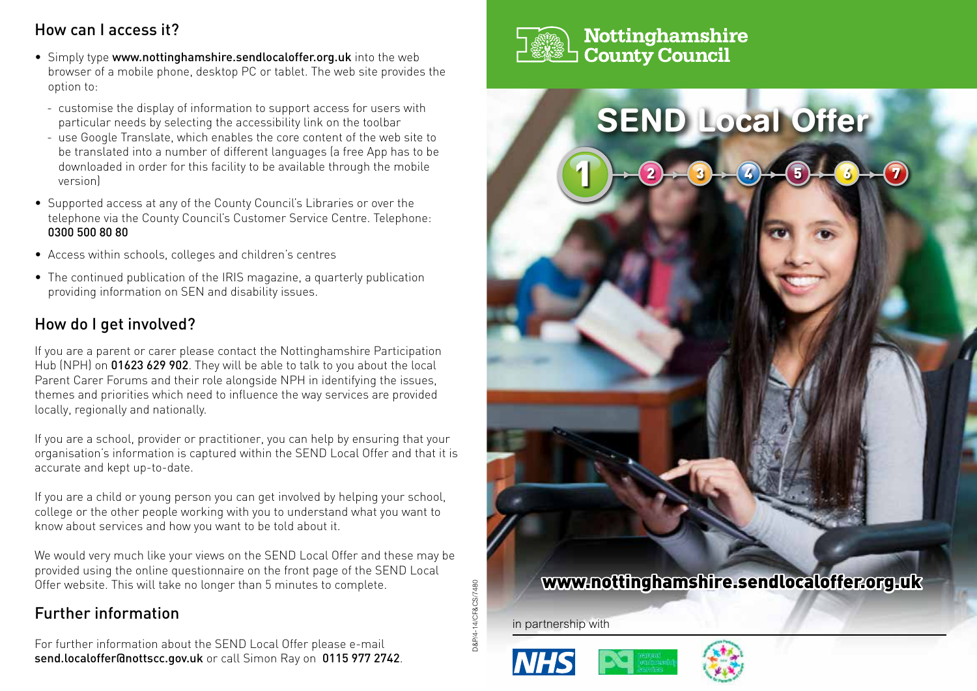# How can I access it?

- Simply type www.nottinghamshire.sendlocaloffer.org.uk into the web browser of a mobile phone, desktop PC or tablet. The web site provides the option to:
	- customise the display of information to support access for users with particular needs by selecting the accessibility link on the toolbar
	- use Google Translate, which enables the core content of the web site to be translated into a number of different languages (a free App has to be downloaded in order for this facility to be available through the mobile version)
- Supported access at any of the County Council's Libraries or over the telephone via the County Council's Customer Service Centre. Telephone: 0300 500 80 80
- Access within schools, colleges and children's centres
- The continued publication of the IRIS magazine, a quarterly publication providing information on SEN and disability issues.

## How do I get involved?

If you are a parent or carer please contact the Nottinghamshire Participation Hub (NPH) on 01623 629 902. They will be able to talk to you about the local Parent Carer Forums and their role alongside NPH in identifying the issues, themes and priorities which need to influence the way services are provided locally, regionally and nationally.

If you are a school, provider or practitioner, you can help by ensuring that your organisation's information is captured within the SEND Local Offer and that it is accurate and kept up-to-date.

If you are a child or young person you can get involved by helping your school, college or the other people working with you to understand what you want to know about services and how you want to be told about it.

We would very much like your views on the SEND Local Offer and these may be provided using the online questionnaire on the front page of the SEND Local Offer website. This will take no longer than 5 minutes to complete.

# Further information

For further information about the SEND Local Offer please e-mail send.localoffer@nottscc.gov.uk or call Simon Ray on 0115 977 2742.



## Nottinghamshire **County Council**



in partnership with

D&P/4-14/CF&CS/7480